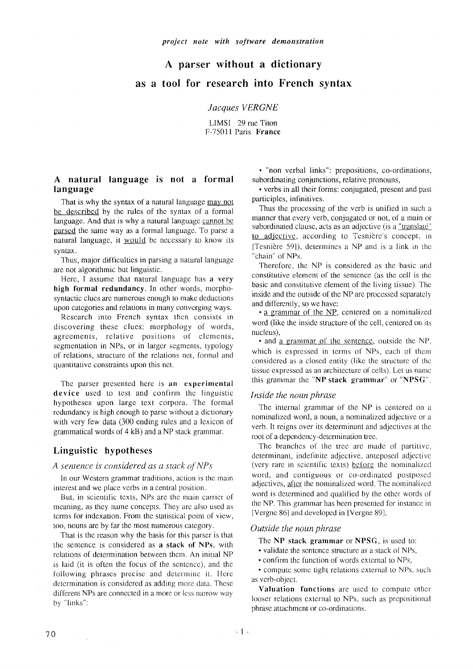# **A parser without a dictionary as a tool for research into French syntax**

#### *Jacques VERGNE*

LIMSI 29 rue Titon F-75011 Paris **France** 

## **A natural language is not a formal language**

That is why the syntax of a natural language may not be described by the rules of the syntax of a formal language. And that is why a natural language cannot be parsed the same way as a formal language. To parse a natural language, it would be necessary to know its syntax,

Thus, major difficulties in parsing a natural language are not algorithmic but linguistic.

Here, I assume that natural language has a very **high formal redundancy.** In other words, morphosyntactic clues are numerous enough to make deductions upon categories and relations in many converging ways.

Research into French syntax then consists in discovering these clues: morphology of words, agreements, relative positions of elements, segmentation in NPs, or in larger segments, typology of relations, structure of the relations net, formal and quantitative constraints upon this net.

The parser presented here is an **experimental device** used to test and confirm the linguistic hypotheses upon large text corpora. The formal redundancy is high enough to parse without a dictionary with very *few* data (300 ending rules and a lexicon of grammatical words of 4 kB) and a NP stack grammar.

## **Linguistic hypotheses**

 $\sim$ 

#### *A sentence is considered as a stack of NPs*

In our Western grammar traditions, action is the main interest and we place verbs in a central position.

But, in scientific texts, NPs are the main carrier of meaning, as they name concepts. They arc also used as terms for indexation. From the statistical point of view, too, nouns are by far the most numerous category.

That is the reason why the basis for this parser is that the sentence is considered as a stack of NPs, with relations of determination between them. An initial NP is laid (it is often the focus of the sentence), and the following phrases precise and determine it. Here determination is considered as adding more data. These different NPs are connected in a more or less narrow way by "links":

• "non verbal links": prepositions, co-ordinations, subordinating conjunctions, relative pronouns,

• verbs in all their forms: conjugated, present and past participles, infinitives.

Thus the processing of the verb is unified in such a manner that every verb, conjugated or not, of a main or subordinated clause, acts as an adjective (is a "translaté" to adjective, according to Tesnière's concept, in [Tesnière 59]), determines a NP and is a link in the "chain" of NPs.

Thereforc, the NP is considered as the basic and constitutive element of the sentence (as the cell is the basic and constitutive element of the living tissue). The inside and the outside of the NP are processed separately and differently, so we have:

• a grammar of the NP, centered on a nominalized word (like the inside structure of the cell, centered on its nucleus),

• and a grammar of the sentence, outside the NP, which is expressed in terms of NPs, each of them considered as a closed entity (like the structure of the tissue expressed as an architecture of cells). Let us name this grammar the "NP stack grammar" or "NPSG".

#### *lnside the noun phrase*

The internal grammar of the NP is centered on a nominalized word, a noun, a nominalized adjective or a verb. It reigns over its determinant and adjectives at the root of a dependency-determination tree.

The branches of the tree are made of partitive, determinant, indefinite adjective, anteposed adjective (very rare in scientific texts) before the nominalized word, and contiguous or co-ordinated postposed adjectives, after the nominalized word. The nominalized word is determined and qualified by the other words of the NP. This grammar has been presented for instance in [Vergne 86] and developed in [Vergne 89].

#### *Outside the noun phrase*

The NP stack grammar or NPSG, is used to:

• validate the sentence structure as a stack of NPs,

• confirm the function of words external to NPs,

• compute some tight relations external to NPs, such as verb-object.

**Valuation functions** are used to compute other looser relations external to NPs, such as prepositional phrase attachment or co-ordinations.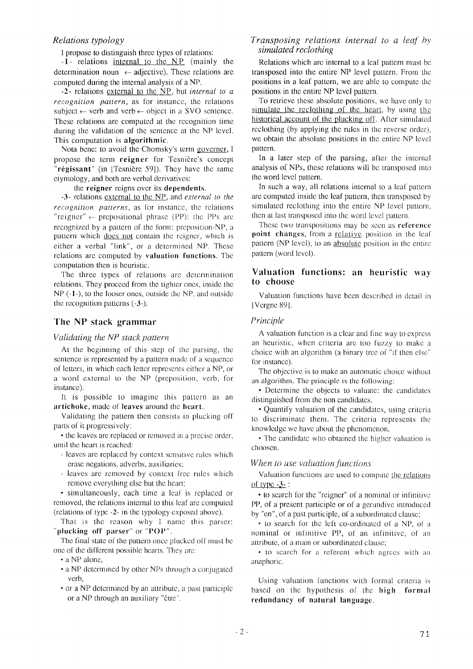# *Relations typology*

I propose to distinguish three types of relations:

**-1-** relations internal to the NP (mainly the determination noun  $\leftarrow$  adjective). These relations are computed during the internal analysis **of a** NP.

**-2-** relations external to the NP, but *internal to a recognition pattern,* as for instance, the relations subject  $\leftarrow$  verb and verb  $\leftarrow$  object in a SVO sentence. These relations are computed at the recognition time during the validation of the sentence at the NP level. This computation is algorithmic.

Nota bene: to avoid the Chomsky's term governer, I propose the term reigner for Tesnière's concept " $r$ égissant" (in [Tesnière 59]). They have the same etymology, and both are verbal derivatives:

the reigner reigns over its dependents.

-3- relations external to the NP, and *external to the recognition patterns,* as for instance, the relations "reigner"  $\leftarrow$  prepositional phrase (PP): the PPs are recognized by a pattern of the form: preposition-NP, a pattern which does not contain the reigner, which is either a verbal "link", or a determined NP. These relations are computed by valuation functions. The computation then is heuristic.

The three types of relations are determination relations. They proceed from the tighter ones, inside the  $NP$  ( $-1$ -), to the looser ones, outside the NP, and outside the recognition patterns (-3-).

## The NP stack grammar

#### *Validating the NP stack pattern*

At the beginning of this step of the parsing, the sentence is represented by a pattern made of a sequence of letters, in which each letter represents either a NP, or a word external to the NP (preposition, verb, for instance).

It is possible to imagine this pattern as an artichoke, made of leaves around the heart.

Validating the pattern then consists in plucking off parts of it progressively:

• the leaves are replaced or removed in a precise order, until the heart is reached:

- leaves are replaced by context sensitive rules which erase negations, adverbs, auxiliaries;
- leaves are removed by context free rules which remove everything else but the heart;

• simultaneously, each time a leaf is replaced or removed, the relations internal to this leaf are computed (relations of type -2- in the typology exposed above).

That is the reason why I name this parser: "plucking off parser" or " $POP$ ".

The final state of the pattern once plucked off must be one of the different possible hearts. They are:

- a NP alone,
- a NP determined by other NPs through a conjugated verb,
- or a NP determined by an atlribute, a past participle or a NP through an auxiliary "être".

## *Transposing relations internal to a leaf by simulated reclothing*

Relations which are internal **to a** leaf pattern must be transposed into the entire NP level pattern. From the positions in a leaf pattern, we are able to compute the positions in the entire NP level pattern.

To retrieve these absolute positions, we have only to simulate the reclothing of the heart, by using the historical account of the plucking off. After simulated reclothing (by applying the rules in the reverse order), we obtain the absolute positions in the entire NP level pattern.

In a later step of the parsing, after the internal analysis of NPs, these relations will be transposed into the word level pattern.

In such a way, all relations internal to a leaf pattern are computed inside the leaf pattern, then transposed by simulated reclothing into the entire NP level pattern, then at last Iransposed into the word level pattern.

These two transpositions may be seen as reference point changes, from a relative position in the leaf pattern (NP level), to an absolute position in the entire pattern (word level).

# **Valuation functions: an heuristic way to choose**

Valuation functions have been described in derail in I Vergne 891.

#### *Principle*

A valuation function is a clear and fine way to express an heuristic, when criteria are too fuzzy to make a choice with an algorithm (a binary tree of "if then else" for instance).

The objective is to make an automatic choice without an algorithm. The principle is the following:

• Determine the objects to valuate: the candidates distinguished from the non candidates.

• Quantify valuation of the candidates, using criteria to discriminate them. The criteria represents the knowledge we have about the phenomenon.

• The candidate who obtained the higher valuation is choosen.

#### *When to use valuation functions*

Valuation functions are used to compute the relations of type  $-3-$ :

 $\cdot$  to search for the "reigner" of a nominal or infinitive PP, of a present participle or of a gerundive introduced by "en", of a past participle, of a subordinated clause;

• to search for the left co-ordinated of a NP, of a nominal or infinitive PP, of an infinitive, of an attribute, of a main or subordinated clause;

• to search for a referent which agrees with an anaphoric.

Using valuation functions with formal criteria is based on the hypothesis of the high formal redundancy of natural language.